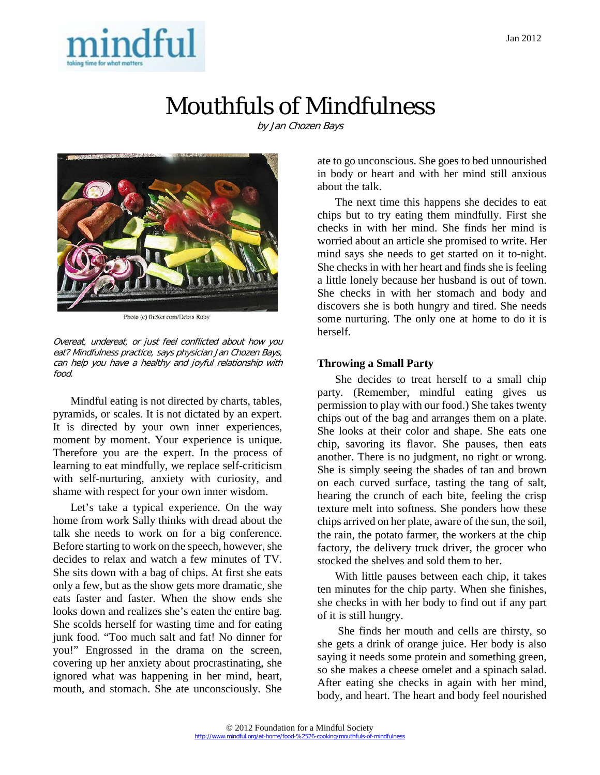

## Mouthfuls of Mindfulness

by Jan Chozen Bays



Photo (c) flicker.com/Debra Roby

Overeat, undereat, or just feel conflicted about how you eat? Mindfulness practice, says physician Jan Chozen Bays, can help you have a healthy and joyful relationship with food.

Mindful eating is not directed by charts, tables, pyramids, or scales. It is not dictated by an expert. It is directed by your own inner experiences, moment by moment. Your experience is unique. Therefore you are the expert. In the process of learning to eat mindfully, we replace self-criticism with self-nurturing, anxiety with curiosity, and shame with respect for your own inner wisdom.

Let's take a typical experience. On the way home from work Sally thinks with dread about the talk she needs to work on for a big conference. Before starting to work on the speech, however, she decides to relax and watch a few minutes of TV. She sits down with a bag of chips. At first she eats only a few, but as the show gets more dramatic, she eats faster and faster. When the show ends she looks down and realizes she's eaten the entire bag. She scolds herself for wasting time and for eating junk food. "Too much salt and fat! No dinner for you!" Engrossed in the drama on the screen, covering up her anxiety about procrastinating, she ignored what was happening in her mind, heart, mouth, and stomach. She ate unconsciously. She

ate to go unconscious. She goes to bed unnourished in body or heart and with her mind still anxious about the talk.

The next time this happens she decides to eat chips but to try eating them mindfully. First she checks in with her mind. She finds her mind is worried about an article she promised to write. Her mind says she needs to get started on it to-night. She checks in with her heart and finds she is feeling a little lonely because her husband is out of town. She checks in with her stomach and body and discovers she is both hungry and tired. She needs some nurturing. The only one at home to do it is herself.

## **Throwing a Small Party**

She decides to treat herself to a small chip party. (Remember, mindful eating gives us permission to play with our food.) She takes twenty chips out of the bag and arranges them on a plate. She looks at their color and shape. She eats one chip, savoring its flavor. She pauses, then eats another. There is no judgment, no right or wrong. She is simply seeing the shades of tan and brown on each curved surface, tasting the tang of salt, hearing the crunch of each bite, feeling the crisp texture melt into softness. She ponders how these chips arrived on her plate, aware of the sun, the soil, the rain, the potato farmer, the workers at the chip factory, the delivery truck driver, the grocer who stocked the shelves and sold them to her.

With little pauses between each chip, it takes ten minutes for the chip party. When she finishes, she checks in with her body to find out if any part of it is still hungry.

She finds her mouth and cells are thirsty, so she gets a drink of orange juice. Her body is also saying it needs some protein and something green, so she makes a cheese omelet and a spinach salad. After eating she checks in again with her mind, body, and heart. The heart and body feel nourished